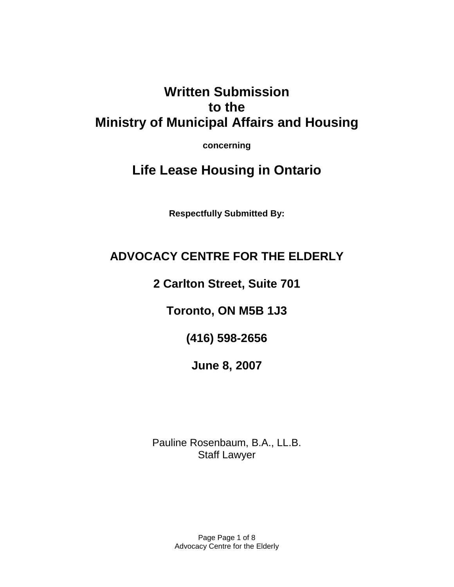# **Written Submission to the Ministry of Municipal Affairs and Housing**

**concerning** 

# **Life Lease Housing in Ontario**

**Respectfully Submitted By:** 

# **ADVOCACY CENTRE FOR THE ELDERLY**

**2 Carlton Street, Suite 701** 

**Toronto, ON M5B 1J3** 

**(416) 598-2656** 

**June 8, 2007** 

Pauline Rosenbaum, B.A., LL.B. Staff Lawyer

> Page Page 1 of 8 Advocacy Centre for the Elderly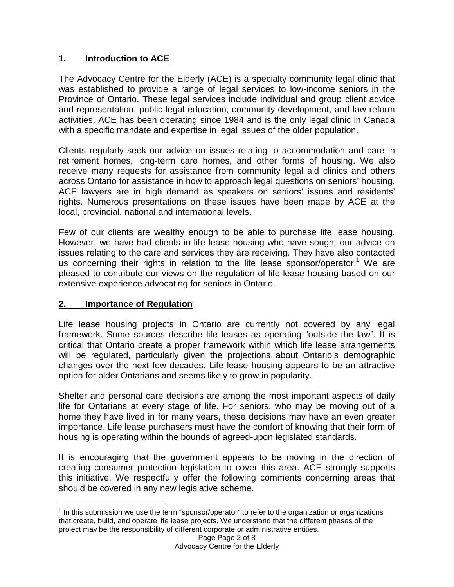#### **1. Introduction to ACE**

The Advocacy Centre for the Elderly (ACE) is a specialty community legal clinic that was established to provide a range of legal services to low-income seniors in the Province of Ontario. These legal services include individual and group client advice and representation, public legal education, community development, and law reform activities. ACE has been operating since 1984 and is the only legal clinic in Canada with a specific mandate and expertise in legal issues of the older population.

Clients regularly seek our advice on issues relating to accommodation and care in retirement homes, long-term care homes, and other forms of housing. We also receive many requests for assistance from community legal aid clinics and others across Ontario for assistance in how to approach legal questions on seniors' housing. ACE lawyers are in high demand as speakers on seniors' issues and residents' rights. Numerous presentations on these issues have been made by ACE at the local, provincial, national and international levels.

Few of our clients are wealthy enough to be able to purchase life lease housing. However, we have had clients in life lease housing who have sought our advice on issues relating to the care and services they are receiving. They have also contacted us concerning their rights in relation to the life lease sponsor/operator.<sup>1</sup> We are pleased to contribute our views on the regulation of life lease housing based on our extensive experience advocating for seniors in Ontario.

#### **2. Importance of Regulation**

Life lease housing projects in Ontario are currently not covered by any legal framework. Some sources describe life leases as operating "outside the law". It is critical that Ontario create a proper framework within which life lease arrangements will be regulated, particularly given the projections about Ontario's demographic changes over the next few decades. Life lease housing appears to be an attractive option for older Ontarians and seems likely to grow in popularity.

Shelter and personal care decisions are among the most important aspects of daily life for Ontarians at every stage of life. For seniors, who may be moving out of a home they have lived in for many years, these decisions may have an even greater importance. Life lease purchasers must have the comfort of knowing that their form of housing is operating within the bounds of agreed-upon legislated standards.

It is encouraging that the government appears to be moving in the direction of creating consumer protection legislation to cover this area. ACE strongly supports this initiative. We respectfully offer the following comments concerning areas that should be covered in any new legislative scheme.

l  $1$  In this submission we use the term "sponsor/operator" to refer to the organization or organizations that create, build, and operate life lease projects. We understand that the different phases of the project may be the responsibility of different corporate or administrative entities.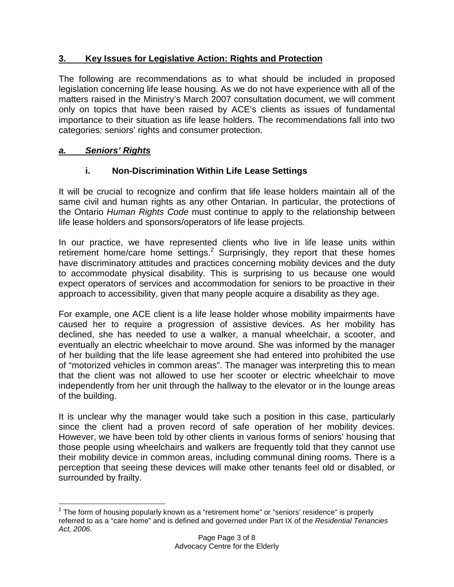#### **3. Key Issues for Legislative Action: Rights and Protection**

The following are recommendations as to what should be included in proposed legislation concerning life lease housing. As we do not have experience with all of the matters raised in the Ministry's March 2007 consultation document, we will comment only on topics that have been raised by ACE's clients as issues of fundamental importance to their situation as life lease holders. The recommendations fall into two categories: seniors' rights and consumer protection.

### **a. Seniors' Rights**

#### **i. Non-Discrimination Within Life Lease Settings**

It will be crucial to recognize and confirm that life lease holders maintain all of the same civil and human rights as any other Ontarian. In particular, the protections of the Ontario Human Rights Code must continue to apply to the relationship between life lease holders and sponsors/operators of life lease projects.

In our practice, we have represented clients who live in life lease units within retirement home/care home settings.<sup>2</sup> Surprisingly, they report that these homes have discriminatory attitudes and practices concerning mobility devices and the duty to accommodate physical disability. This is surprising to us because one would expect operators of services and accommodation for seniors to be proactive in their approach to accessibility, given that many people acquire a disability as they age.

For example, one ACE client is a life lease holder whose mobility impairments have caused her to require a progression of assistive devices. As her mobility has declined, she has needed to use a walker, a manual wheelchair, a scooter, and eventually an electric wheelchair to move around. She was informed by the manager of her building that the life lease agreement she had entered into prohibited the use of "motorized vehicles in common areas". The manager was interpreting this to mean that the client was not allowed to use her scooter or electric wheelchair to move independently from her unit through the hallway to the elevator or in the lounge areas of the building.

It is unclear why the manager would take such a position in this case, particularly since the client had a proven record of safe operation of her mobility devices. However, we have been told by other clients in various forms of seniors' housing that those people using wheelchairs and walkers are frequently told that they cannot use their mobility device in common areas, including communal dining rooms. There is a perception that seeing these devices will make other tenants feel old or disabled, or surrounded by frailty.

l  $2$  The form of housing popularly known as a "retirement home" or "seniors' residence" is properly referred to as a "care home" and is defined and governed under Part IX of the Residential Tenancies Act, 2006.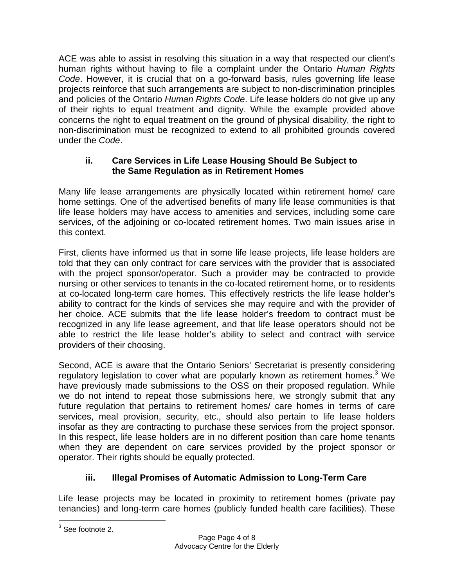ACE was able to assist in resolving this situation in a way that respected our client's human rights without having to file a complaint under the Ontario Human Rights Code. However, it is crucial that on a go-forward basis, rules governing life lease projects reinforce that such arrangements are subject to non-discrimination principles and policies of the Ontario Human Rights Code. Life lease holders do not give up any of their rights to equal treatment and dignity. While the example provided above concerns the right to equal treatment on the ground of physical disability, the right to non-discrimination must be recognized to extend to all prohibited grounds covered under the Code.

#### **ii. Care Services in Life Lease Housing Should Be Subject to the Same Regulation as in Retirement Homes**

Many life lease arrangements are physically located within retirement home/ care home settings. One of the advertised benefits of many life lease communities is that life lease holders may have access to amenities and services, including some care services, of the adjoining or co-located retirement homes. Two main issues arise in this context.

First, clients have informed us that in some life lease projects, life lease holders are told that they can only contract for care services with the provider that is associated with the project sponsor/operator. Such a provider may be contracted to provide nursing or other services to tenants in the co-located retirement home, or to residents at co-located long-term care homes. This effectively restricts the life lease holder's ability to contract for the kinds of services she may require and with the provider of her choice. ACE submits that the life lease holder's freedom to contract must be recognized in any life lease agreement, and that life lease operators should not be able to restrict the life lease holder's ability to select and contract with service providers of their choosing.

Second, ACE is aware that the Ontario Seniors' Secretariat is presently considering regulatory legislation to cover what are popularly known as retirement homes.<sup>3</sup> We have previously made submissions to the OSS on their proposed regulation. While we do not intend to repeat those submissions here, we strongly submit that any future regulation that pertains to retirement homes/ care homes in terms of care services, meal provision, security, etc., should also pertain to life lease holders insofar as they are contracting to purchase these services from the project sponsor. In this respect, life lease holders are in no different position than care home tenants when they are dependent on care services provided by the project sponsor or operator. Their rights should be equally protected.

# **iii. Illegal Promises of Automatic Admission to Long-Term Care**

Life lease projects may be located in proximity to retirement homes (private pay tenancies) and long-term care homes (publicly funded health care facilities). These

 3 See footnote 2.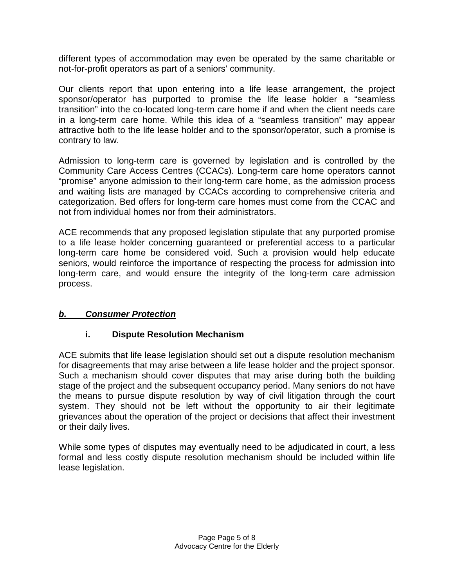different types of accommodation may even be operated by the same charitable or not-for-profit operators as part of a seniors' community.

Our clients report that upon entering into a life lease arrangement, the project sponsor/operator has purported to promise the life lease holder a "seamless transition" into the co-located long-term care home if and when the client needs care in a long-term care home. While this idea of a "seamless transition" may appear attractive both to the life lease holder and to the sponsor/operator, such a promise is contrary to law.

Admission to long-term care is governed by legislation and is controlled by the Community Care Access Centres (CCACs). Long-term care home operators cannot "promise" anyone admission to their long-term care home, as the admission process and waiting lists are managed by CCACs according to comprehensive criteria and categorization. Bed offers for long-term care homes must come from the CCAC and not from individual homes nor from their administrators.

ACE recommends that any proposed legislation stipulate that any purported promise to a life lease holder concerning guaranteed or preferential access to a particular long-term care home be considered void. Such a provision would help educate seniors, would reinforce the importance of respecting the process for admission into long-term care, and would ensure the integrity of the long-term care admission process.

### **b. Consumer Protection**

### **i. Dispute Resolution Mechanism**

ACE submits that life lease legislation should set out a dispute resolution mechanism for disagreements that may arise between a life lease holder and the project sponsor. Such a mechanism should cover disputes that may arise during both the building stage of the project and the subsequent occupancy period. Many seniors do not have the means to pursue dispute resolution by way of civil litigation through the court system. They should not be left without the opportunity to air their legitimate grievances about the operation of the project or decisions that affect their investment or their daily lives.

While some types of disputes may eventually need to be adjudicated in court, a less formal and less costly dispute resolution mechanism should be included within life lease legislation.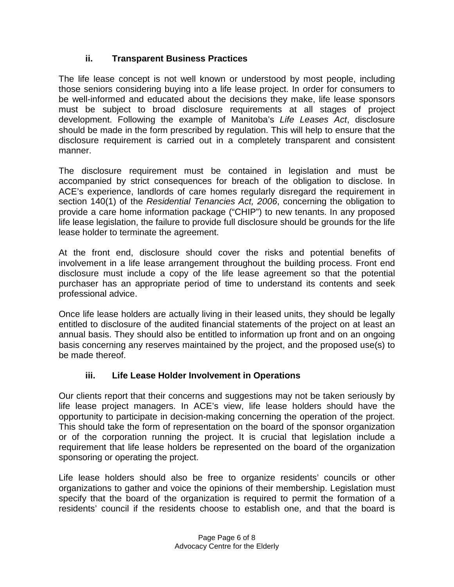### **ii. Transparent Business Practices**

The life lease concept is not well known or understood by most people, including those seniors considering buying into a life lease project. In order for consumers to be well-informed and educated about the decisions they make, life lease sponsors must be subject to broad disclosure requirements at all stages of project development. Following the example of Manitoba's Life Leases Act, disclosure should be made in the form prescribed by regulation. This will help to ensure that the disclosure requirement is carried out in a completely transparent and consistent manner.

The disclosure requirement must be contained in legislation and must be accompanied by strict consequences for breach of the obligation to disclose. In ACE's experience, landlords of care homes regularly disregard the requirement in section 140(1) of the Residential Tenancies Act, 2006, concerning the obligation to provide a care home information package ("CHIP") to new tenants. In any proposed life lease legislation, the failure to provide full disclosure should be grounds for the life lease holder to terminate the agreement.

At the front end, disclosure should cover the risks and potential benefits of involvement in a life lease arrangement throughout the building process. Front end disclosure must include a copy of the life lease agreement so that the potential purchaser has an appropriate period of time to understand its contents and seek professional advice.

Once life lease holders are actually living in their leased units, they should be legally entitled to disclosure of the audited financial statements of the project on at least an annual basis. They should also be entitled to information up front and on an ongoing basis concerning any reserves maintained by the project, and the proposed use(s) to be made thereof.

# **iii. Life Lease Holder Involvement in Operations**

Our clients report that their concerns and suggestions may not be taken seriously by life lease project managers. In ACE's view, life lease holders should have the opportunity to participate in decision-making concerning the operation of the project. This should take the form of representation on the board of the sponsor organization or of the corporation running the project. It is crucial that legislation include a requirement that life lease holders be represented on the board of the organization sponsoring or operating the project.

Life lease holders should also be free to organize residents' councils or other organizations to gather and voice the opinions of their membership. Legislation must specify that the board of the organization is required to permit the formation of a residents' council if the residents choose to establish one, and that the board is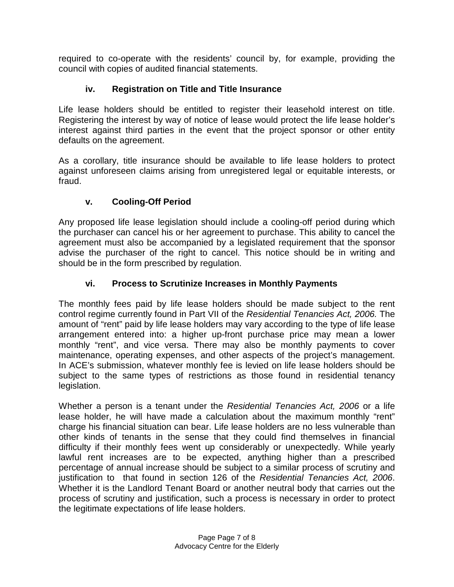required to co-operate with the residents' council by, for example, providing the council with copies of audited financial statements.

## **iv. Registration on Title and Title Insurance**

Life lease holders should be entitled to register their leasehold interest on title. Registering the interest by way of notice of lease would protect the life lease holder's interest against third parties in the event that the project sponsor or other entity defaults on the agreement.

As a corollary, title insurance should be available to life lease holders to protect against unforeseen claims arising from unregistered legal or equitable interests, or fraud.

## **v. Cooling-Off Period**

Any proposed life lease legislation should include a cooling-off period during which the purchaser can cancel his or her agreement to purchase. This ability to cancel the agreement must also be accompanied by a legislated requirement that the sponsor advise the purchaser of the right to cancel. This notice should be in writing and should be in the form prescribed by regulation.

## **vi. Process to Scrutinize Increases in Monthly Payments**

The monthly fees paid by life lease holders should be made subject to the rent control regime currently found in Part VII of the Residential Tenancies Act, 2006. The amount of "rent" paid by life lease holders may vary according to the type of life lease arrangement entered into: a higher up-front purchase price may mean a lower monthly "rent", and vice versa. There may also be monthly payments to cover maintenance, operating expenses, and other aspects of the project's management. In ACE's submission, whatever monthly fee is levied on life lease holders should be subject to the same types of restrictions as those found in residential tenancy legislation.

Whether a person is a tenant under the Residential Tenancies Act, 2006 or a life lease holder, he will have made a calculation about the maximum monthly "rent" charge his financial situation can bear. Life lease holders are no less vulnerable than other kinds of tenants in the sense that they could find themselves in financial difficulty if their monthly fees went up considerably or unexpectedly. While yearly lawful rent increases are to be expected, anything higher than a prescribed percentage of annual increase should be subject to a similar process of scrutiny and justification to that found in section 126 of the Residential Tenancies Act, 2006. Whether it is the Landlord Tenant Board or another neutral body that carries out the process of scrutiny and justification, such a process is necessary in order to protect the legitimate expectations of life lease holders.